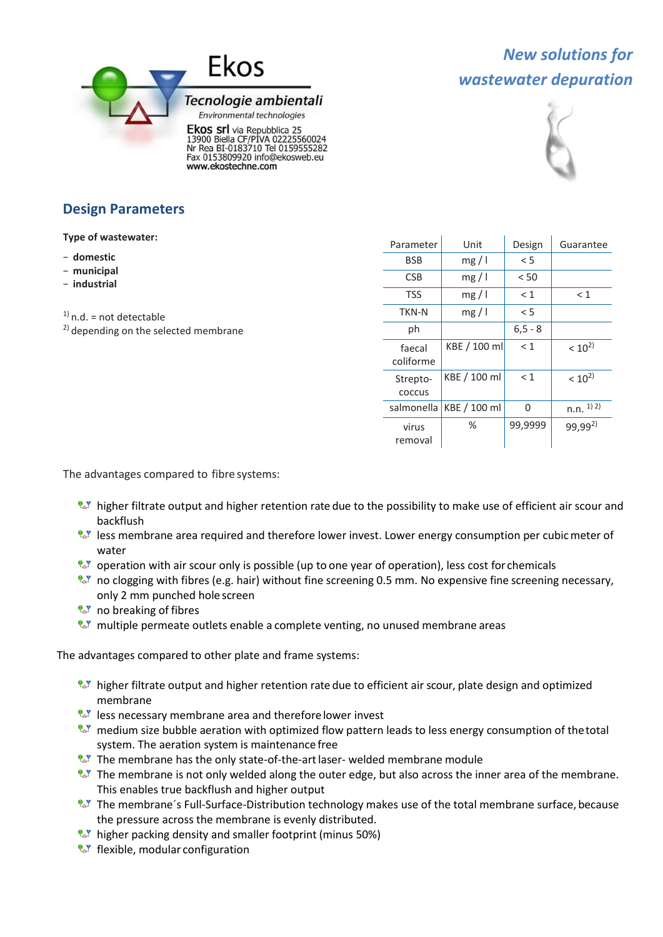

# *New solutions for wastewater depuration*



## **Design Parameters**

**Type of wastewater:**

- − **domestic**
- − **municipal**
- − **industrial**

 $1)$  n.d. = not detectable

 $^{2)}$  depending on the selected membrane

| Parameter           | Unit         | Design     | Guarantee    |
|---------------------|--------------|------------|--------------|
| BSB                 | mg/1         | $\leq$ 5   |              |
| <b>CSB</b>          | mg/1         | < 50       |              |
| TSS                 | mg/1         | $\leq 1$   | < 1          |
| TKN-N               | mg/1         | $\leq$ 5   |              |
| ph                  |              | $6, 5 - 8$ |              |
| faecal<br>coliforme | KBE / 100 ml | < 1        | $< 10^{2}$   |
| Strepto-<br>COCCUS  | KBE / 100 ml | < 1        | $< 10^{2}$   |
| salmonella          | KBE / 100 ml | O          | $n.n.$ 1) 2) |
| virus<br>removal    | %            | 99,9999    | $99,99^{2}$  |

The advantages compared to fibre systems:

- **U** higher filtrate output and higher retention rate due to the possibility to make use of efficient air scour and backflush
- <sup>2</sup><sup>1</sup> less membrane area required and therefore lower invest. Lower energy consumption per cubic meter of water
- **A** operation with air scour only is possible (up to one year of operation), less cost for chemicals
- $\sim$  no clogging with fibres (e.g. hair) without fine screening 0.5 mm. No expensive fine screening necessary, only 2 mm punched hole screen
- $2\sqrt{2}$  no breaking of fibres
- $\mathbb{Z}$  multiple permeate outlets enable a complete venting, no unused membrane areas

The advantages compared to other plate and frame systems:

- <sup>0.7</sup> higher filtrate output and higher retention rate due to efficient air scour, plate design and optimized membrane
- $\mathbb{R}^3$  less necessary membrane area and therefore lower invest
- **A** medium size bubble aeration with optimized flow pattern leads to less energy consumption of the total system. The aeration system is maintenance free
- $2^{\sqrt{2}}$  The membrane has the only state-of-the-art laser- welded membrane module
- **L** The membrane is not only welded along the outer edge, but also across the inner area of the membrane. This enables true backflush and higher output
- **L** The membrane's Full-Surface-Distribution technology makes use of the total membrane surface, because the pressure across the membrane is evenly distributed.
- $\mathbb{R}^3$  higher packing density and smaller footprint (minus 50%)
- $\sqrt{2}$  flexible, modular configuration